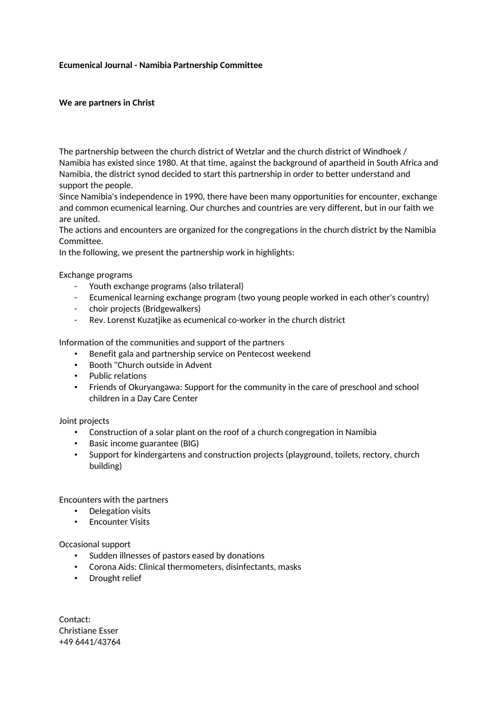## **Ecumenical Journal - Namibia Partnership Committee**

## **We are partners in Christ**

The partnership between the church district of Wetzlar and the church district of Windhoek / Namibia has existed since 1980. At that time, against the background of apartheid in South Africa and Namibia, the district synod decided to start this partnership in order to better understand and support the people.

Since Namibia's independence in 1990, there have been many opportunities for encounter, exchange and common ecumenical learning. Our churches and countries are very different, but in our faith we are united.

The actions and encounters are organized for the congregations in the church district by the Namibia Committee.

In the following, we present the partnership work in highlights:

Exchange programs

- Youth exchange programs (also trilateral)
- Ecumenical learning exchange program (two young people worked in each other's country)
- choir projects (Bridgewalkers)
- Rev. Lorenst Kuzatjike as ecumenical co-worker in the church district

Information of the communities and support of the partners

- Benefit gala and partnership service on Pentecost weekend
- Booth "Church outside in Advent
- Public relations
- Friends of Okuryangawa: Support for the community in the care of preschool and school children in a Day Care Center

## Joint projects

- Construction of a solar plant on the roof of a church congregation in Namibia
- Basic income guarantee (BIG)
- Support for kindergartens and construction projects (playground, toilets, rectory, church building)

Encounters with the partners

- Delegation visits
- Encounter Visits

Occasional support

- Sudden illnesses of pastors eased by donations
- Corona Aids: Clinical thermometers, disinfectants, masks
- Drought relief

Contact: Christiane Esser +49 6441/43764